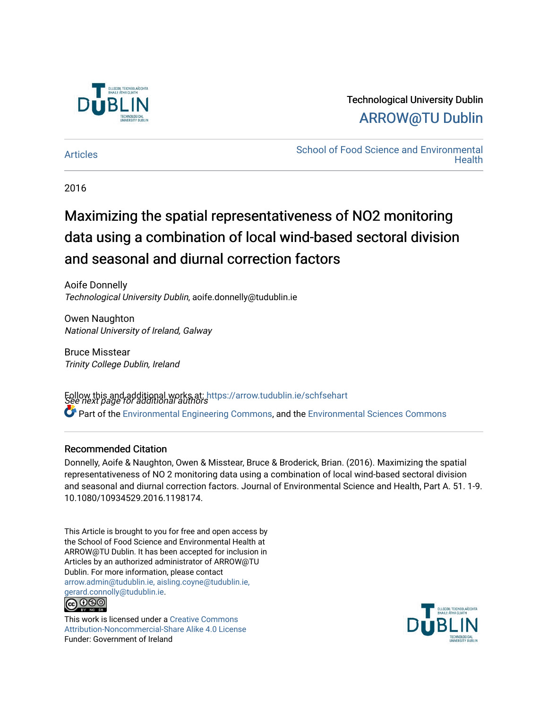

## Technological University Dublin [ARROW@TU Dublin](https://arrow.tudublin.ie/)

[Articles](https://arrow.tudublin.ie/schfsehart) **School of Food Science and Environmental Health** 

2016

# Maximizing the spatial representativeness of NO2 monitoring data using a combination of local wind-based sectoral division and seasonal and diurnal correction factors

Aoife Donnelly Technological University Dublin, aoife.donnelly@tudublin.ie

Owen Naughton National University of Ireland, Galway

Bruce Misstear Trinity College Dublin, Ireland

Follow this and additional works at: https://arrow.tudublin.ie/schfsehart<br>See next page for additional authors Part of the [Environmental Engineering Commons](http://network.bepress.com/hgg/discipline/254?utm_source=arrow.tudublin.ie%2Fschfsehart%2F478&utm_medium=PDF&utm_campaign=PDFCoverPages), and the [Environmental Sciences Commons](http://network.bepress.com/hgg/discipline/167?utm_source=arrow.tudublin.ie%2Fschfsehart%2F478&utm_medium=PDF&utm_campaign=PDFCoverPages)

#### Recommended Citation

Donnelly, Aoife & Naughton, Owen & Misstear, Bruce & Broderick, Brian. (2016). Maximizing the spatial representativeness of NO 2 monitoring data using a combination of local wind-based sectoral division and seasonal and diurnal correction factors. Journal of Environmental Science and Health, Part A. 51. 1-9. 10.1080/10934529.2016.1198174.

This Article is brought to you for free and open access by the School of Food Science and Environmental Health at ARROW@TU Dublin. It has been accepted for inclusion in Articles by an authorized administrator of ARROW@TU Dublin. For more information, please contact [arrow.admin@tudublin.ie, aisling.coyne@tudublin.ie,](mailto:arrow.admin@tudublin.ie,%20aisling.coyne@tudublin.ie,%20gerard.connolly@tudublin.ie)  [gerard.connolly@tudublin.ie](mailto:arrow.admin@tudublin.ie,%20aisling.coyne@tudublin.ie,%20gerard.connolly@tudublin.ie). **@** 00

This work is licensed under a [Creative Commons](http://creativecommons.org/licenses/by-nc-sa/4.0/) [Attribution-Noncommercial-Share Alike 4.0 License](http://creativecommons.org/licenses/by-nc-sa/4.0/) Funder: Government of Ireland

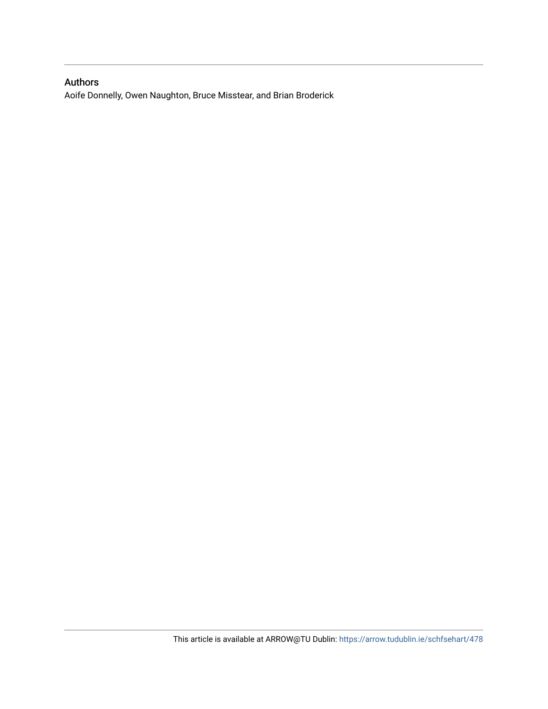### Authors

Aoife Donnelly, Owen Naughton, Bruce Misstear, and Brian Broderick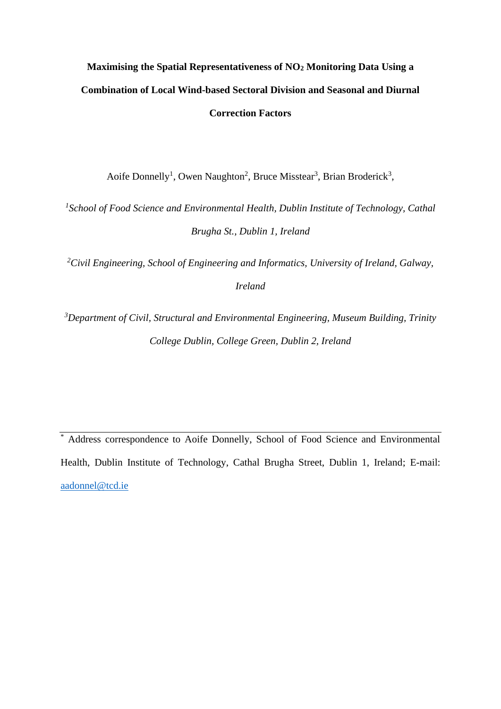# **Maximising the Spatial Representativeness of NO<sup>2</sup> Monitoring Data Using a Combination of Local Wind-based Sectoral Division and Seasonal and Diurnal Correction Factors**

Aoife Donnelly<sup>1</sup>, Owen Naughton<sup>2</sup>, Bruce Misstear<sup>3</sup>, Brian Broderick<sup>3</sup>,

<sup>1</sup> School of Food Science and Environmental Health, Dublin Institute of Technology, Cathal *Brugha St., Dublin 1, Ireland*

*<sup>2</sup>Civil Engineering, School of Engineering and Informatics, University of Ireland, Galway,* 

*Ireland*

*<sup>3</sup>Department of Civil, Structural and Environmental Engineering, Museum Building, Trinity College Dublin, College Green, Dublin 2, Ireland*

\* Address correspondence to Aoife Donnelly, School of Food Science and Environmental Health, Dublin Institute of Technology, Cathal Brugha Street, Dublin 1, Ireland; E-mail: [aadonnel@tcd.ie](mailto:aadonnel@tcd.ie)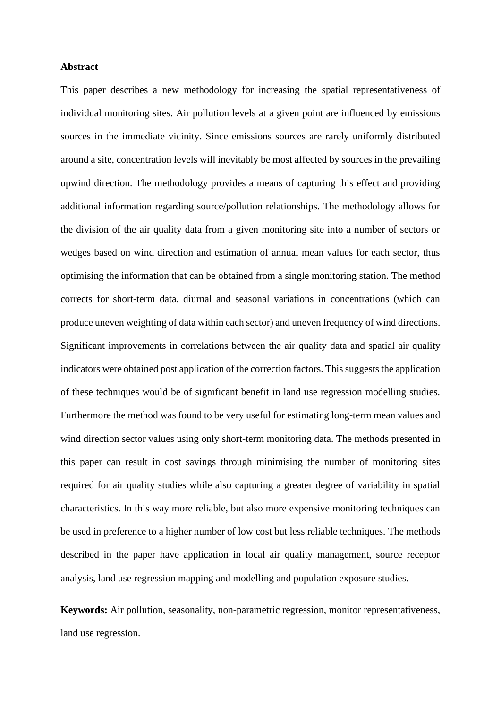#### **Abstract**

This paper describes a new methodology for increasing the spatial representativeness of individual monitoring sites. Air pollution levels at a given point are influenced by emissions sources in the immediate vicinity. Since emissions sources are rarely uniformly distributed around a site, concentration levels will inevitably be most affected by sources in the prevailing upwind direction. The methodology provides a means of capturing this effect and providing additional information regarding source/pollution relationships. The methodology allows for the division of the air quality data from a given monitoring site into a number of sectors or wedges based on wind direction and estimation of annual mean values for each sector, thus optimising the information that can be obtained from a single monitoring station. The method corrects for short-term data, diurnal and seasonal variations in concentrations (which can produce uneven weighting of data within each sector) and uneven frequency of wind directions. Significant improvements in correlations between the air quality data and spatial air quality indicators were obtained post application of the correction factors. This suggests the application of these techniques would be of significant benefit in land use regression modelling studies. Furthermore the method was found to be very useful for estimating long-term mean values and wind direction sector values using only short-term monitoring data. The methods presented in this paper can result in cost savings through minimising the number of monitoring sites required for air quality studies while also capturing a greater degree of variability in spatial characteristics. In this way more reliable, but also more expensive monitoring techniques can be used in preference to a higher number of low cost but less reliable techniques. The methods described in the paper have application in local air quality management, source receptor analysis, land use regression mapping and modelling and population exposure studies.

**Keywords:** Air pollution, seasonality, non-parametric regression, monitor representativeness, land use regression.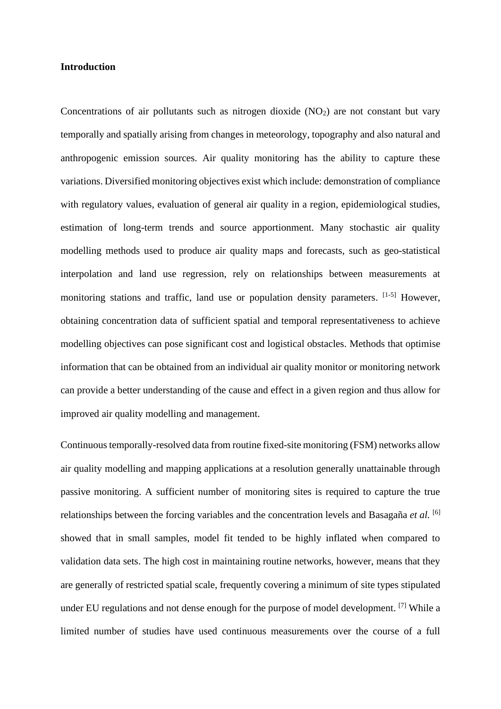#### **Introduction**

Concentrations of air pollutants such as nitrogen dioxide  $(NO<sub>2</sub>)$  are not constant but vary temporally and spatially arising from changes in meteorology, topography and also natural and anthropogenic emission sources. Air quality monitoring has the ability to capture these variations. Diversified monitoring objectives exist which include: demonstration of compliance with regulatory values, evaluation of general air quality in a region, epidemiological studies, estimation of long-term trends and source apportionment. Many stochastic air quality modelling methods used to produce air quality maps and forecasts, such as geo-statistical interpolation and land use regression, rely on relationships between measurements at monitoring stations and traffic, land use or population density parameters. [1-5] However, obtaining concentration data of sufficient spatial and temporal representativeness to achieve modelling objectives can pose significant cost and logistical obstacles. Methods that optimise information that can be obtained from an individual air quality monitor or monitoring network can provide a better understanding of the cause and effect in a given region and thus allow for improved air quality modelling and management.

Continuous temporally-resolved data from routine fixed-site monitoring (FSM) networks allow air quality modelling and mapping applications at a resolution generally unattainable through passive monitoring. A sufficient number of monitoring sites is required to capture the true relationships between the forcing variables and the concentration levels and Basagaña *et al.* [6] showed that in small samples, model fit tended to be highly inflated when compared to validation data sets. The high cost in maintaining routine networks, however, means that they are generally of restricted spatial scale, frequently covering a minimum of site types stipulated under EU regulations and not dense enough for the purpose of model development. [7] While a limited number of studies have used continuous measurements over the course of a full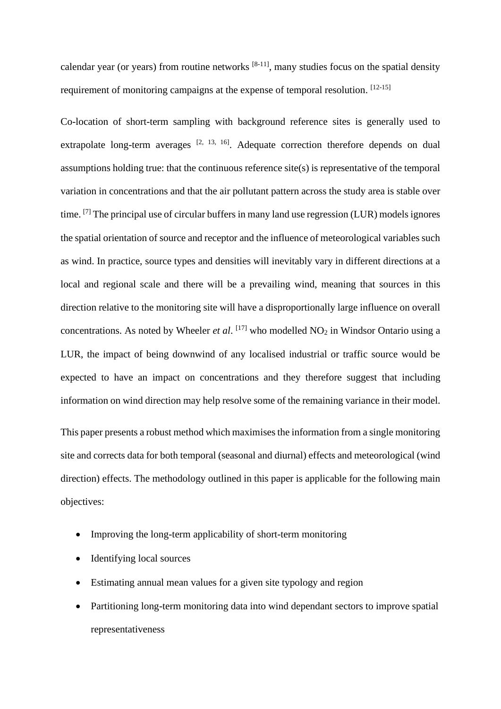calendar year (or years) from routine networks  $[8-11]$ , many studies focus on the spatial density requirement of monitoring campaigns at the expense of temporal resolution. [12-15]

Co-location of short-term sampling with background reference sites is generally used to extrapolate long-term averages  $[2, 13, 16]$ . Adequate correction therefore depends on dual assumptions holding true: that the continuous reference site(s) is representative of the temporal variation in concentrations and that the air pollutant pattern across the study area is stable over time. <sup>[7]</sup> The principal use of circular buffers in many land use regression (LUR) models ignores the spatial orientation of source and receptor and the influence of meteorological variables such as wind. In practice, source types and densities will inevitably vary in different directions at a local and regional scale and there will be a prevailing wind, meaning that sources in this direction relative to the monitoring site will have a disproportionally large influence on overall concentrations. As noted by Wheeler *et al*. <sup>[17]</sup> who modelled NO<sub>2</sub> in Windsor Ontario using a LUR, the impact of being downwind of any localised industrial or traffic source would be expected to have an impact on concentrations and they therefore suggest that including information on wind direction may help resolve some of the remaining variance in their model.

This paper presents a robust method which maximises the information from a single monitoring site and corrects data for both temporal (seasonal and diurnal) effects and meteorological (wind direction) effects. The methodology outlined in this paper is applicable for the following main objectives:

- Improving the long-term applicability of short-term monitoring
- Identifying local sources
- Estimating annual mean values for a given site typology and region
- Partitioning long-term monitoring data into wind dependant sectors to improve spatial representativeness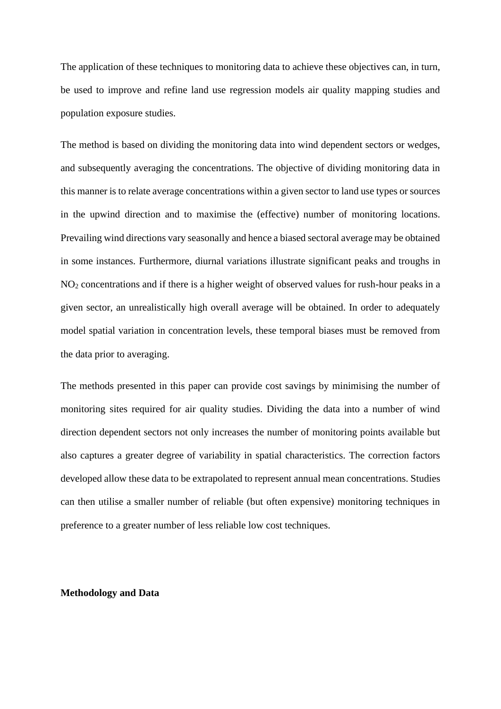The application of these techniques to monitoring data to achieve these objectives can, in turn, be used to improve and refine land use regression models air quality mapping studies and population exposure studies.

The method is based on dividing the monitoring data into wind dependent sectors or wedges, and subsequently averaging the concentrations. The objective of dividing monitoring data in this manner is to relate average concentrations within a given sector to land use types or sources in the upwind direction and to maximise the (effective) number of monitoring locations. Prevailing wind directions vary seasonally and hence a biased sectoral average may be obtained in some instances. Furthermore, diurnal variations illustrate significant peaks and troughs in NO<sup>2</sup> concentrations and if there is a higher weight of observed values for rush-hour peaks in a given sector, an unrealistically high overall average will be obtained. In order to adequately model spatial variation in concentration levels, these temporal biases must be removed from the data prior to averaging.

The methods presented in this paper can provide cost savings by minimising the number of monitoring sites required for air quality studies. Dividing the data into a number of wind direction dependent sectors not only increases the number of monitoring points available but also captures a greater degree of variability in spatial characteristics. The correction factors developed allow these data to be extrapolated to represent annual mean concentrations. Studies can then utilise a smaller number of reliable (but often expensive) monitoring techniques in preference to a greater number of less reliable low cost techniques.

#### **Methodology and Data**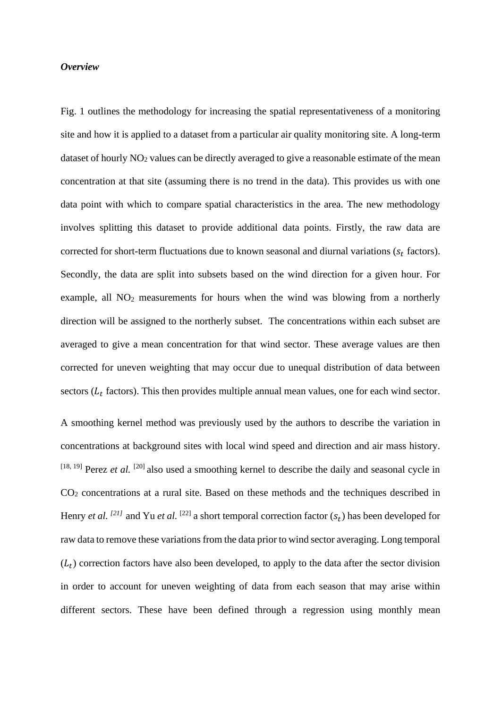#### *Overview*

[Fig.](#page-22-0) 1 outlines the methodology for increasing the spatial representativeness of a monitoring site and how it is applied to a dataset from a particular air quality monitoring site. A long-term dataset of hourly NO<sub>2</sub> values can be directly averaged to give a reasonable estimate of the mean concentration at that site (assuming there is no trend in the data). This provides us with one data point with which to compare spatial characteristics in the area. The new methodology involves splitting this dataset to provide additional data points. Firstly, the raw data are corrected for short-term fluctuations due to known seasonal and diurnal variations ( $s_t$  factors). Secondly, the data are split into subsets based on the wind direction for a given hour. For example, all NO<sup>2</sup> measurements for hours when the wind was blowing from a northerly direction will be assigned to the northerly subset. The concentrations within each subset are averaged to give a mean concentration for that wind sector. These average values are then corrected for uneven weighting that may occur due to unequal distribution of data between sectors  $(L_t$  factors). This then provides multiple annual mean values, one for each wind sector.

A smoothing kernel method was previously used by the authors to describe the variation in concentrations at background sites with local wind speed and direction and air mass history. [18, 19] Perez *et al.* [20] also used a smoothing kernel to describe the daily and seasonal cycle in CO<sup>2</sup> concentrations at a rural site. Based on these methods and the techniques described in Henry *et al.* <sup>[21]</sup> and Yu *et al.* <sup>[22]</sup> a short temporal correction factor  $(s_t)$  has been developed for raw data to remove these variations from the data prior to wind sector averaging. Long temporal  $(L_t)$  correction factors have also been developed, to apply to the data after the sector division in order to account for uneven weighting of data from each season that may arise within different sectors. These have been defined through a regression using monthly mean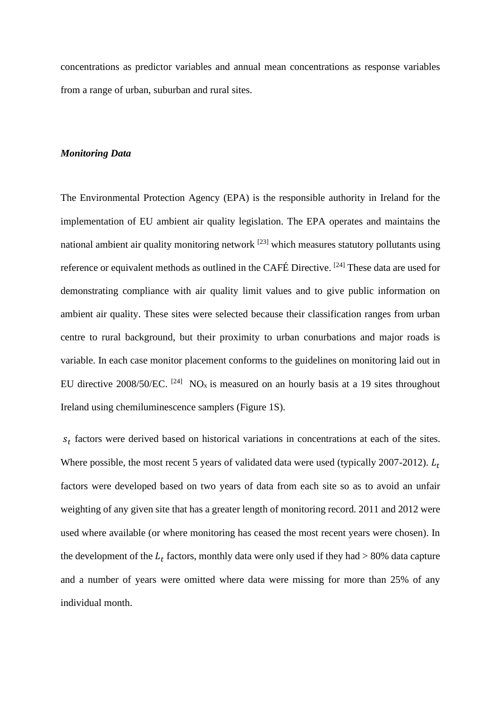concentrations as predictor variables and annual mean concentrations as response variables from a range of urban, suburban and rural sites.

#### *Monitoring Data*

The Environmental Protection Agency (EPA) is the responsible authority in Ireland for the implementation of EU ambient air quality legislation. The EPA operates and maintains the national ambient air quality monitoring network  $^{[23]}$  which measures statutory pollutants using reference or equivalent methods as outlined in the CAFÉ Directive. <sup>[24]</sup> These data are used for demonstrating compliance with air quality limit values and to give public information on ambient air quality. These sites were selected because their classification ranges from urban centre to rural background, but their proximity to urban conurbations and major roads is variable. In each case monitor placement conforms to the guidelines on monitoring laid out in EU directive 2008/50/EC. <sup>[24]</sup> NO<sub>x</sub> is measured on an hourly basis at a 19 sites throughout Ireland using chemiluminescence samplers (Figure 1S).

 $s_t$  factors were derived based on historical variations in concentrations at each of the sites. Where possible, the most recent 5 years of validated data were used (typically 2007-2012).  $L_t$ factors were developed based on two years of data from each site so as to avoid an unfair weighting of any given site that has a greater length of monitoring record. 2011 and 2012 were used where available (or where monitoring has ceased the most recent years were chosen). In the development of the  $L_t$  factors, monthly data were only used if they had  $> 80\%$  data capture and a number of years were omitted where data were missing for more than 25% of any individual month.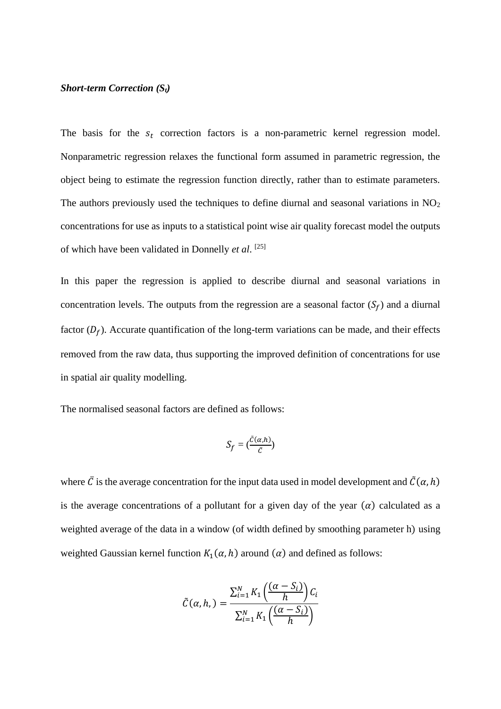#### *Short-term Correction (St)*

The basis for the  $s_t$  correction factors is a non-parametric kernel regression model. Nonparametric regression relaxes the functional form assumed in parametric regression, the object being to estimate the regression function directly, rather than to estimate parameters. The authors previously used the techniques to define diurnal and seasonal variations in  $NO<sub>2</sub>$ concentrations for use as inputs to a statistical point wise air quality forecast model the outputs of which have been validated in Donnelly *et al*. [25]

In this paper the regression is applied to describe diurnal and seasonal variations in concentration levels. The outputs from the regression are a seasonal factor  $(S_f)$  and a diurnal factor  $(D_f)$ . Accurate quantification of the long-term variations can be made, and their effects removed from the raw data, thus supporting the improved definition of concentrations for use in spatial air quality modelling.

The normalised seasonal factors are defined as follows:

$$
S_f=(\frac{\tilde{c}(\alpha,h)}{\bar{c}})
$$

where  $\bar{C}$  is the average concentration for the input data used in model development and  $\tilde{C}(\alpha, h)$ is the average concentrations of a pollutant for a given day of the year  $(\alpha)$  calculated as a weighted average of the data in a window (of width defined by smoothing parameter h) using weighted Gaussian kernel function  $K_1(\alpha, h)$  around  $(\alpha)$  and defined as follows:

$$
\tilde{C}(\alpha, h_{i}) = \frac{\sum_{i=1}^{N} K_{1}\left(\frac{(\alpha - S_{i})}{h}\right) C_{i}}{\sum_{i=1}^{N} K_{1}\left(\frac{(\alpha - S_{i})}{h}\right)}
$$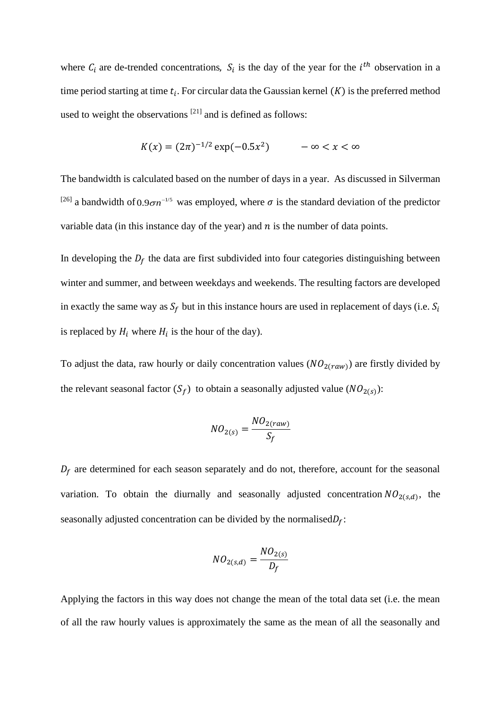where  $C_i$  are de-trended concentrations,  $S_i$  is the day of the year for the  $i^{th}$  observation in a time period starting at time  $t_i$ . For circular data the Gaussian kernel  $(K)$  is the preferred method used to weight the observations <sup>[21]</sup> and is defined as follows:

$$
K(x) = (2\pi)^{-1/2} \exp(-0.5x^2) \qquad -\infty < x < \infty
$$

The bandwidth is calculated based on the number of days in a year. As discussed in Silverman <sup>[26]</sup> a bandwidth of 0.9 $\sigma n^{-1/5}$  was employed, where  $\sigma$  is the standard deviation of the predictor variable data (in this instance day of the year) and  $n$  is the number of data points.

In developing the  $D_f$  the data are first subdivided into four categories distinguishing between winter and summer, and between weekdays and weekends. The resulting factors are developed in exactly the same way as  $S_f$  but in this instance hours are used in replacement of days (i.e.  $S_i$ is replaced by  $H_i$  where  $H_i$  is the hour of the day).

To adjust the data, raw hourly or daily concentration values  $(NO_{2(raw)})$  are firstly divided by the relevant seasonal factor  $(S_f)$  to obtain a seasonally adjusted value  $(NO_{2(s)})$ :

$$
NO_{2(s)} = \frac{NO_{2(raw)}}{S_f}
$$

 $D_f$  are determined for each season separately and do not, therefore, account for the seasonal variation. To obtain the diurnally and seasonally adjusted concentration  $NO_{2(s,d)}$ , the seasonally adjusted concentration can be divided by the normalised  $D_f$ :

$$
NO_{2(s,d)} = \frac{NO_{2(s)}}{D_f}
$$

Applying the factors in this way does not change the mean of the total data set (i.e. the mean of all the raw hourly values is approximately the same as the mean of all the seasonally and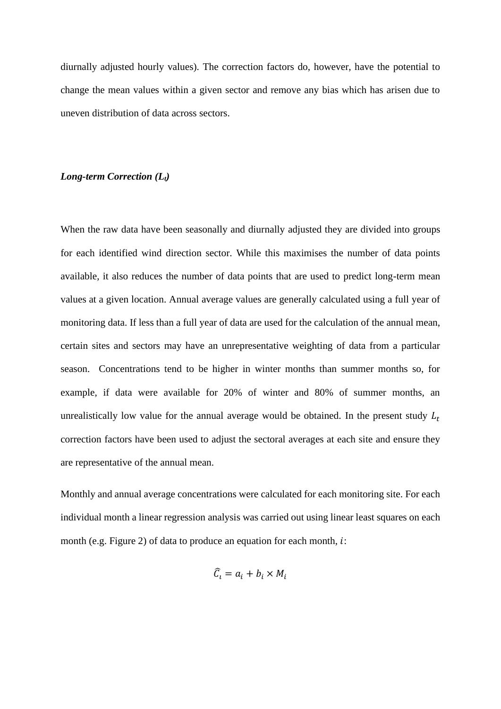diurnally adjusted hourly values). The correction factors do, however, have the potential to change the mean values within a given sector and remove any bias which has arisen due to uneven distribution of data across sectors.

#### *Long-term Correction (Lt)*

When the raw data have been seasonally and diurnally adjusted they are divided into groups for each identified wind direction sector. While this maximises the number of data points available, it also reduces the number of data points that are used to predict long-term mean values at a given location. Annual average values are generally calculated using a full year of monitoring data. If less than a full year of data are used for the calculation of the annual mean, certain sites and sectors may have an unrepresentative weighting of data from a particular season. Concentrations tend to be higher in winter months than summer months so, for example, if data were available for 20% of winter and 80% of summer months, an unrealistically low value for the annual average would be obtained. In the present study  $L_t$ correction factors have been used to adjust the sectoral averages at each site and ensure they are representative of the annual mean.

Monthly and annual average concentrations were calculated for each monitoring site. For each individual month a linear regression analysis was carried out using linear least squares on each month (e.g. Figure 2) of data to produce an equation for each month,  $i$ :

$$
\widehat{C}_i = a_i + b_i \times M_i
$$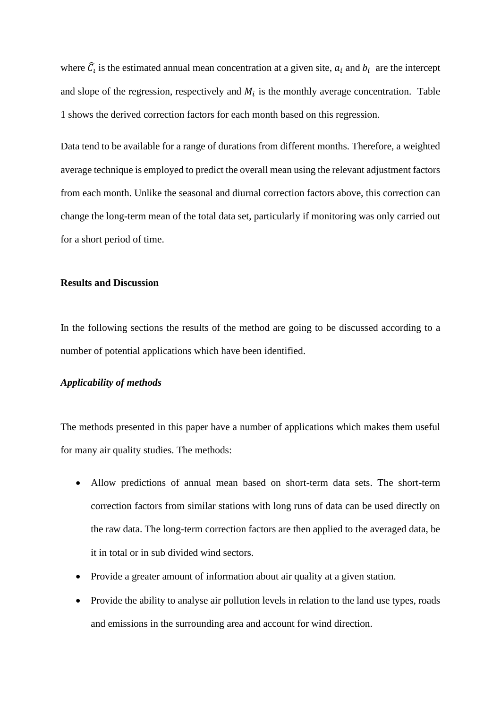where  $\widehat{C}_i$  is the estimated annual mean concentration at a given site,  $a_i$  and  $b_i$  are the intercept and slope of the regression, respectively and  $M_i$  is the monthly average concentration. Table [1](#page-25-0) shows the derived correction factors for each month based on this regression.

Data tend to be available for a range of durations from different months. Therefore, a weighted average technique is employed to predict the overall mean using the relevant adjustment factors from each month. Unlike the seasonal and diurnal correction factors above, this correction can change the long-term mean of the total data set, particularly if monitoring was only carried out for a short period of time.

#### **Results and Discussion**

In the following sections the results of the method are going to be discussed according to a number of potential applications which have been identified.

#### *Applicability of methods*

The methods presented in this paper have a number of applications which makes them useful for many air quality studies. The methods:

- Allow predictions of annual mean based on short-term data sets. The short-term correction factors from similar stations with long runs of data can be used directly on the raw data. The long-term correction factors are then applied to the averaged data, be it in total or in sub divided wind sectors.
- Provide a greater amount of information about air quality at a given station.
- Provide the ability to analyse air pollution levels in relation to the land use types, roads and emissions in the surrounding area and account for wind direction.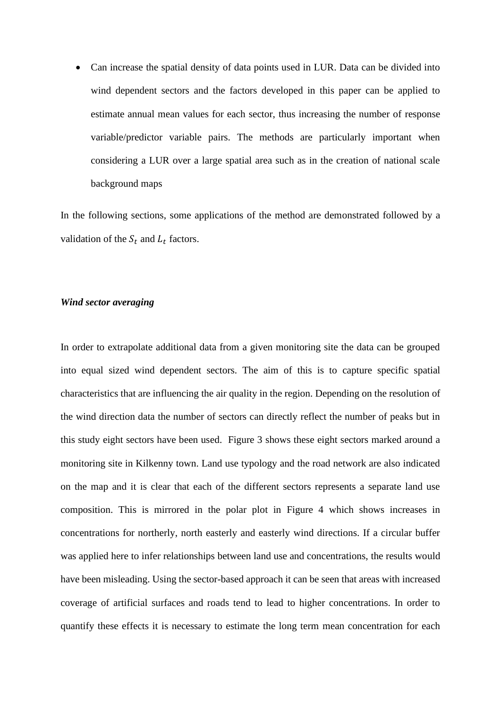• Can increase the spatial density of data points used in LUR. Data can be divided into wind dependent sectors and the factors developed in this paper can be applied to estimate annual mean values for each sector, thus increasing the number of response variable/predictor variable pairs. The methods are particularly important when considering a LUR over a large spatial area such as in the creation of national scale background maps

In the following sections, some applications of the method are demonstrated followed by a validation of the  $S_t$  and  $L_t$  factors.

#### *Wind sector averaging*

In order to extrapolate additional data from a given monitoring site the data can be grouped into equal sized wind dependent sectors. The aim of this is to capture specific spatial characteristics that are influencing the air quality in the region. Depending on the resolution of the wind direction data the number of sectors can directly reflect the number of peaks but in this study eight sectors have been used. Figure 3 shows these eight sectors marked around a monitoring site in Kilkenny town. Land use typology and the road network are also indicated on the map and it is clear that each of the different sectors represents a separate land use composition. This is mirrored in the polar plot in Figure 4 which shows increases in concentrations for northerly, north easterly and easterly wind directions. If a circular buffer was applied here to infer relationships between land use and concentrations, the results would have been misleading. Using the sector-based approach it can be seen that areas with increased coverage of artificial surfaces and roads tend to lead to higher concentrations. In order to quantify these effects it is necessary to estimate the long term mean concentration for each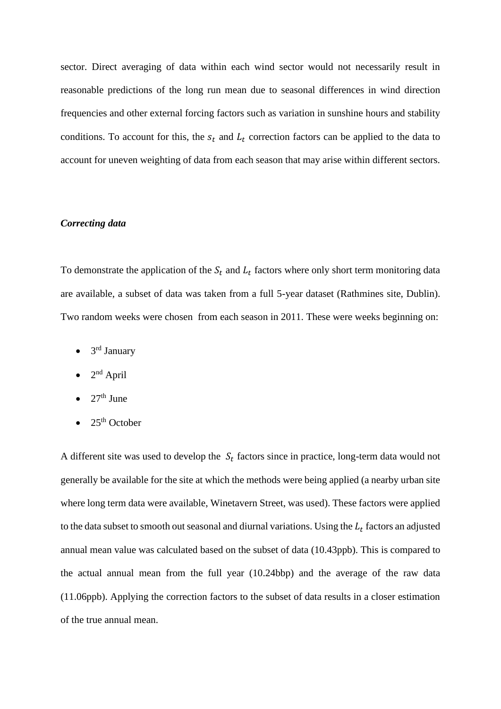sector. Direct averaging of data within each wind sector would not necessarily result in reasonable predictions of the long run mean due to seasonal differences in wind direction frequencies and other external forcing factors such as variation in sunshine hours and stability conditions. To account for this, the  $s_t$  and  $L_t$  correction factors can be applied to the data to account for uneven weighting of data from each season that may arise within different sectors.

#### *Correcting data*

To demonstrate the application of the  $S_t$  and  $L_t$  factors where only short term monitoring data are available, a subset of data was taken from a full 5-year dataset (Rathmines site, Dublin). Two random weeks were chosen from each season in 2011. These were weeks beginning on:

- $\bullet$  3<sup>rd</sup> January
- $\bullet$  2<sup>nd</sup> April
- $27<sup>th</sup>$  June
- $25<sup>th</sup>$  October

A different site was used to develop the  $S_t$  factors since in practice, long-term data would not generally be available for the site at which the methods were being applied (a nearby urban site where long term data were available, Winetavern Street, was used). These factors were applied to the data subset to smooth out seasonal and diurnal variations. Using the  $L_t$  factors an adjusted annual mean value was calculated based on the subset of data (10.43ppb). This is compared to the actual annual mean from the full year (10.24bbp) and the average of the raw data (11.06ppb). Applying the correction factors to the subset of data results in a closer estimation of the true annual mean.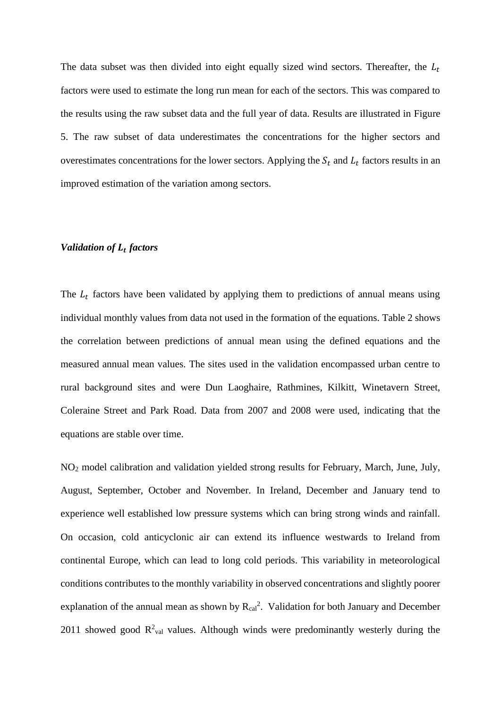The data subset was then divided into eight equally sized wind sectors. Thereafter, the  $L_t$ factors were used to estimate the long run mean for each of the sectors. This was compared to the results using the raw subset data and the full year of data. Results are illustrated in Figure 5. The raw subset of data underestimates the concentrations for the higher sectors and overestimates concentrations for the lower sectors. Applying the  $S_t$  and  $L_t$  factors results in an improved estimation of the variation among sectors.

#### *Validation of factors*

The  $L_t$  factors have been validated by applying them to predictions of annual means using individual monthly values from data not used in the formation of the equations. [Table 2](#page-25-1) shows the correlation between predictions of annual mean using the defined equations and the measured annual mean values. The sites used in the validation encompassed urban centre to rural background sites and were Dun Laoghaire, Rathmines, Kilkitt, Winetavern Street, Coleraine Street and Park Road. Data from 2007 and 2008 were used, indicating that the equations are stable over time.

NO<sup>2</sup> model calibration and validation yielded strong results for February, March, June, July, August, September, October and November. In Ireland, December and January tend to experience well established low pressure systems which can bring strong winds and rainfall. On occasion, cold anticyclonic air can extend its influence westwards to Ireland from continental Europe, which can lead to long cold periods. This variability in meteorological conditions contributes to the monthly variability in observed concentrations and slightly poorer explanation of the annual mean as shown by  $R_{cal}^2$ . Validation for both January and December 2011 showed good  $R^2$ <sub>val</sub> values. Although winds were predominantly westerly during the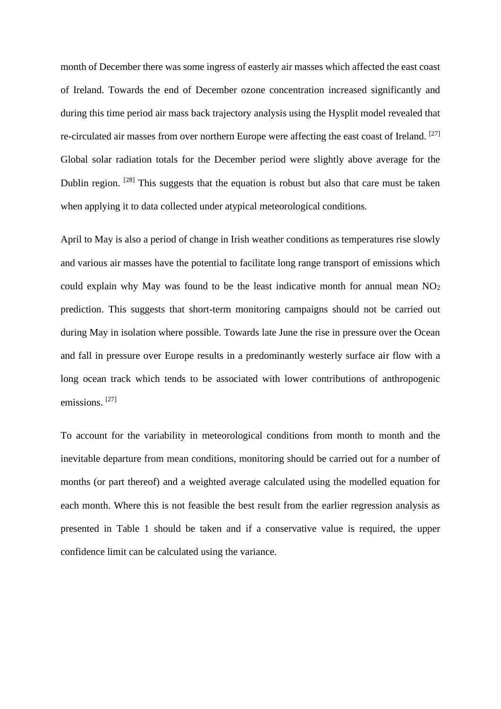month of December there was some ingress of easterly air masses which affected the east coast of Ireland. Towards the end of December ozone concentration increased significantly and during this time period air mass back trajectory analysis using the Hysplit model revealed that re-circulated air masses from over northern Europe were affecting the east coast of Ireland. [27] Global solar radiation totals for the December period were slightly above average for the Dublin region. <sup>[28]</sup> This suggests that the equation is robust but also that care must be taken when applying it to data collected under atypical meteorological conditions.

April to May is also a period of change in Irish weather conditions as temperatures rise slowly and various air masses have the potential to facilitate long range transport of emissions which could explain why May was found to be the least indicative month for annual mean  $NO<sub>2</sub>$ prediction. This suggests that short-term monitoring campaigns should not be carried out during May in isolation where possible. Towards late June the rise in pressure over the Ocean and fall in pressure over Europe results in a predominantly westerly surface air flow with a long ocean track which tends to be associated with lower contributions of anthropogenic emissions. [27]

To account for the variability in meteorological conditions from month to month and the inevitable departure from mean conditions, monitoring should be carried out for a number of months (or part thereof) and a weighted average calculated using the modelled equation for each month. Where this is not feasible the best result from the earlier regression analysis as presented in [Table 1](#page-25-0) should be taken and if a conservative value is required, the upper confidence limit can be calculated using the variance.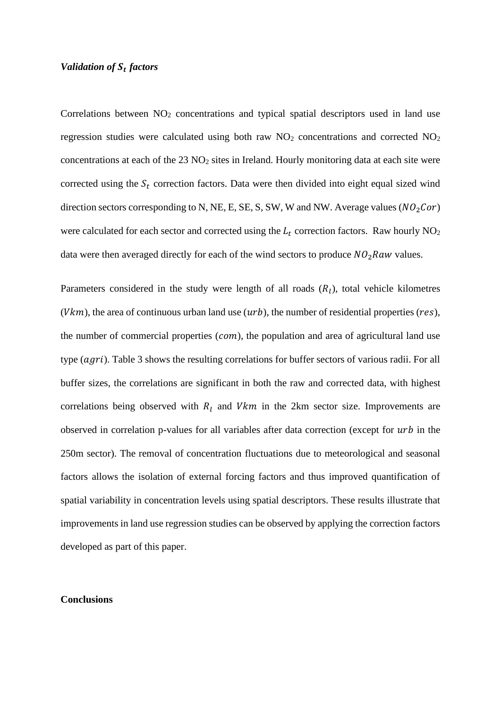#### *Validation of factors*

Correlations between  $NO<sub>2</sub>$  concentrations and typical spatial descriptors used in land use regression studies were calculated using both raw  $NO<sub>2</sub>$  concentrations and corrected  $NO<sub>2</sub>$ concentrations at each of the  $23 \text{ NO}_2$  sites in Ireland. Hourly monitoring data at each site were corrected using the  $S_t$  correction factors. Data were then divided into eight equal sized wind direction sectors corresponding to N, NE, E, SE, S, SW, W and NW. Average values ( $NO<sub>2</sub>Cor$ ) were calculated for each sector and corrected using the  $L_t$  correction factors. Raw hourly NO<sub>2</sub> data were then averaged directly for each of the wind sectors to produce  $NO<sub>2</sub>Raw$  values.

Parameters considered in the study were length of all roads  $(R_l)$ , total vehicle kilometres ( $Vkm$ ), the area of continuous urban land use ( $urb$ ), the number of residential properties (res), the number of commercial properties  $(com)$ , the population and area of agricultural land use type  $(agri)$ . [Table 3](#page-25-2) shows the resulting correlations for buffer sectors of various radii. For all buffer sizes, the correlations are significant in both the raw and corrected data, with highest correlations being observed with  $R_l$  and  $Vkm$  in the 2km sector size. Improvements are observed in correlation p-values for all variables after data correction (except for  $urb$  in the 250m sector). The removal of concentration fluctuations due to meteorological and seasonal factors allows the isolation of external forcing factors and thus improved quantification of spatial variability in concentration levels using spatial descriptors. These results illustrate that improvements in land use regression studies can be observed by applying the correction factors developed as part of this paper.

#### **Conclusions**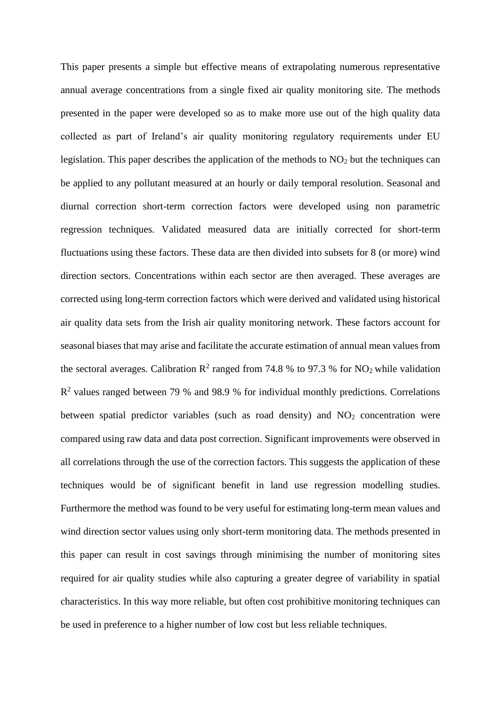This paper presents a simple but effective means of extrapolating numerous representative annual average concentrations from a single fixed air quality monitoring site. The methods presented in the paper were developed so as to make more use out of the high quality data collected as part of Ireland's air quality monitoring regulatory requirements under EU legislation. This paper describes the application of the methods to  $NO<sub>2</sub>$  but the techniques can be applied to any pollutant measured at an hourly or daily temporal resolution. Seasonal and diurnal correction short-term correction factors were developed using non parametric regression techniques. Validated measured data are initially corrected for short-term fluctuations using these factors. These data are then divided into subsets for 8 (or more) wind direction sectors. Concentrations within each sector are then averaged. These averages are corrected using long-term correction factors which were derived and validated using historical air quality data sets from the Irish air quality monitoring network. These factors account for seasonal biases that may arise and facilitate the accurate estimation of annual mean values from the sectoral averages. Calibration  $R^2$  ranged from 74.8 % to 97.3 % for NO<sub>2</sub> while validation  $R<sup>2</sup>$  values ranged between 79 % and 98.9 % for individual monthly predictions. Correlations between spatial predictor variables (such as road density) and  $NO<sub>2</sub>$  concentration were compared using raw data and data post correction. Significant improvements were observed in all correlations through the use of the correction factors. This suggests the application of these techniques would be of significant benefit in land use regression modelling studies. Furthermore the method was found to be very useful for estimating long-term mean values and wind direction sector values using only short-term monitoring data. The methods presented in this paper can result in cost savings through minimising the number of monitoring sites required for air quality studies while also capturing a greater degree of variability in spatial characteristics. In this way more reliable, but often cost prohibitive monitoring techniques can be used in preference to a higher number of low cost but less reliable techniques.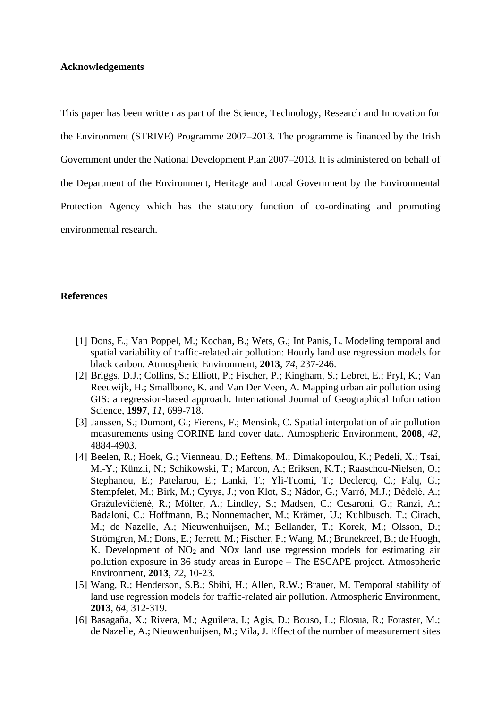#### **Acknowledgements**

This paper has been written as part of the Science, Technology, Research and Innovation for the Environment (STRIVE) Programme 2007–2013. The programme is financed by the Irish Government under the National Development Plan 2007–2013. It is administered on behalf of the Department of the Environment, Heritage and Local Government by the Environmental Protection Agency which has the statutory function of co-ordinating and promoting environmental research.

#### **References**

- [1] Dons, E.; Van Poppel, M.; Kochan, B.; Wets, G.; Int Panis, L. Modeling temporal and spatial variability of traffic-related air pollution: Hourly land use regression models for black carbon. Atmospheric Environment, **2013**, *74*, 237-246.
- [2] Briggs, D.J.; Collins, S.; Elliott, P.; Fischer, P.; Kingham, S.; Lebret, E.; Pryl, K.; Van Reeuwijk, H.; Smallbone, K. and Van Der Veen, A. Mapping urban air pollution using GIS: a regression-based approach. International Journal of Geographical Information Science, **1997**, *11*, 699-718.
- [3] Janssen, S.; Dumont, G.; Fierens, F.; Mensink, C. Spatial interpolation of air pollution measurements using CORINE land cover data. Atmospheric Environment, **2008**, *42*, 4884-4903.
- [4] Beelen, R.; Hoek, G.; Vienneau, D.; Eeftens, M.; Dimakopoulou, K.; Pedeli, X.; Tsai, M.-Y.; Künzli, N.; Schikowski, T.; Marcon, A.; Eriksen, K.T.; Raaschou-Nielsen, O.; Stephanou, E.; Patelarou, E.; Lanki, T.; Yli-Tuomi, T.; Declercq, C.; Falq, G.; Stempfelet, M.; Birk, M.; Cyrys, J.; von Klot, S.; Nádor, G.; Varró, M.J.; Dėdelė, A.; Gražulevičienė, R.; Mölter, A.; Lindley, S.; Madsen, C.; Cesaroni, G.; Ranzi, A.; Badaloni, C.; Hoffmann, B.; Nonnemacher, M.; Krämer, U.; Kuhlbusch, T.; Cirach, M.; de Nazelle, A.; Nieuwenhuijsen, M.; Bellander, T.; Korek, M.; Olsson, D.; Strömgren, M.; Dons, E.; Jerrett, M.; Fischer, P.; Wang, M.; Brunekreef, B.; de Hoogh, K. Development of  $NO<sub>2</sub>$  and  $NO<sub>X</sub>$  land use regression models for estimating air pollution exposure in 36 study areas in Europe – The ESCAPE project. Atmospheric Environment, **2013**, *72*, 10-23.
- [5] Wang, R.; Henderson, S.B.; Sbihi, H.; Allen, R.W.; Brauer, M. Temporal stability of land use regression models for traffic-related air pollution. Atmospheric Environment, **2013**, *64*, 312-319.
- [6] Basagaña, X.; Rivera, M.; Aguilera, I.; Agis, D.; Bouso, L.; Elosua, R.; Foraster, M.; de Nazelle, A.; Nieuwenhuijsen, M.; Vila, J. Effect of the number of measurement sites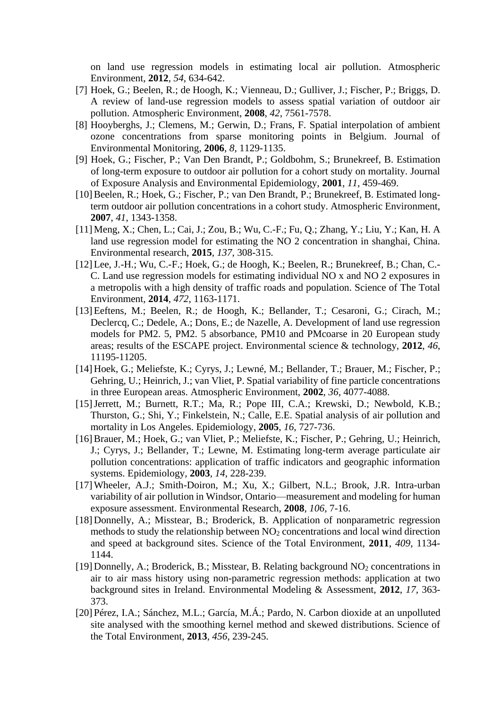on land use regression models in estimating local air pollution. Atmospheric Environment, **2012**, *54*, 634-642.

- [7] Hoek, G.; Beelen, R.; de Hoogh, K.; Vienneau, D.; Gulliver, J.; Fischer, P.; Briggs, D. A review of land-use regression models to assess spatial variation of outdoor air pollution. Atmospheric Environment, **2008**, *42*, 7561-7578.
- [8] Hooyberghs, J.; Clemens, M.; Gerwin, D.; Frans, F. Spatial interpolation of ambient ozone concentrations from sparse monitoring points in Belgium. Journal of Environmental Monitoring, **2006**, *8*, 1129-1135.
- [9] Hoek, G.; Fischer, P.; Van Den Brandt, P.; Goldbohm, S.; Brunekreef, B. Estimation of long-term exposure to outdoor air pollution for a cohort study on mortality. Journal of Exposure Analysis and Environmental Epidemiology, **2001**, *11*, 459-469.
- [10]Beelen, R.; Hoek, G.; Fischer, P.; van Den Brandt, P.; Brunekreef, B. Estimated longterm outdoor air pollution concentrations in a cohort study. Atmospheric Environment, **2007**, *41*, 1343-1358.
- [11]Meng, X.; Chen, L.; Cai, J.; Zou, B.; Wu, C.-F.; Fu, Q.; Zhang, Y.; Liu, Y.; Kan, H. A land use regression model for estimating the NO 2 concentration in shanghai, China. Environmental research, **2015**, *137*, 308-315.
- [12]Lee, J.-H.; Wu, C.-F.; Hoek, G.; de Hoogh, K.; Beelen, R.; Brunekreef, B.; Chan, C.- C. Land use regression models for estimating individual NO x and NO 2 exposures in a metropolis with a high density of traffic roads and population. Science of The Total Environment, **2014**, *472*, 1163-1171.
- [13]Eeftens, M.; Beelen, R.; de Hoogh, K.; Bellander, T.; Cesaroni, G.; Cirach, M.; Declercq, C.; Dedele, A.; Dons, E.; de Nazelle, A. Development of land use regression models for PM2. 5, PM2. 5 absorbance, PM10 and PMcoarse in 20 European study areas; results of the ESCAPE project. Environmental science & technology, **2012**, *46*, 11195-11205.
- [14]Hoek, G.; Meliefste, K.; Cyrys, J.; Lewné, M.; Bellander, T.; Brauer, M.; Fischer, P.; Gehring, U.; Heinrich, J.; van Vliet, P. Spatial variability of fine particle concentrations in three European areas. Atmospheric Environment, **2002**, *36*, 4077-4088.
- [15]Jerrett, M.; Burnett, R.T.; Ma, R.; Pope III, C.A.; Krewski, D.; Newbold, K.B.; Thurston, G.; Shi, Y.; Finkelstein, N.; Calle, E.E. Spatial analysis of air pollution and mortality in Los Angeles. Epidemiology, **2005**, *16*, 727-736.
- [16]Brauer, M.; Hoek, G.; van Vliet, P.; Meliefste, K.; Fischer, P.; Gehring, U.; Heinrich, J.; Cyrys, J.; Bellander, T.; Lewne, M. Estimating long-term average particulate air pollution concentrations: application of traffic indicators and geographic information systems. Epidemiology, **2003**, *14*, 228-239.
- [17]Wheeler, A.J.; Smith-Doiron, M.; Xu, X.; Gilbert, N.L.; Brook, J.R. Intra-urban variability of air pollution in Windsor, Ontario—measurement and modeling for human exposure assessment. Environmental Research, **2008**, *106*, 7-16.
- [18] Donnelly, A.; Misstear, B.; Broderick, B. Application of nonparametric regression methods to study the relationship between  $NO<sub>2</sub>$  concentrations and local wind direction and speed at background sites. Science of the Total Environment, **2011**, *409*, 1134- 1144.
- [19] Donnelly, A.; Broderick, B.; Misstear, B. Relating background  $NO<sub>2</sub>$  concentrations in air to air mass history using non-parametric regression methods: application at two background sites in Ireland. Environmental Modeling & Assessment, **2012**, *17*, 363- 373.
- [20] Pérez, I.A.; Sánchez, M.L.; García, M.Á.; Pardo, N. Carbon dioxide at an unpolluted site analysed with the smoothing kernel method and skewed distributions. Science of the Total Environment, **2013**, *456*, 239-245.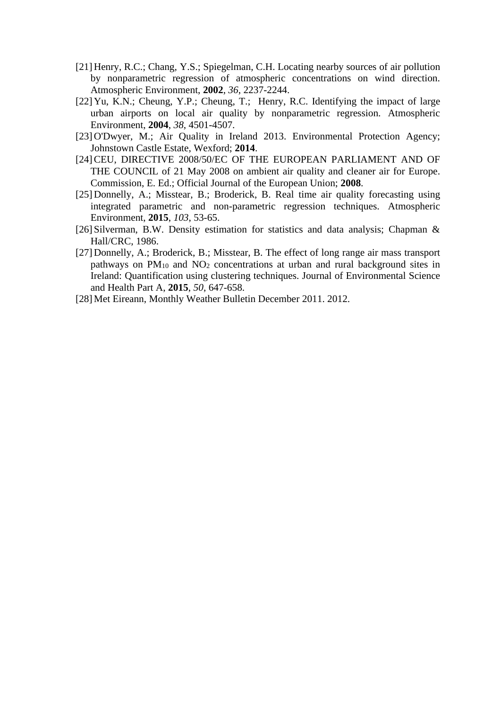- [21]Henry, R.C.; Chang, Y.S.; Spiegelman, C.H. Locating nearby sources of air pollution by nonparametric regression of atmospheric concentrations on wind direction. Atmospheric Environment, **2002**, *36*, 2237-2244.
- [22]Yu, K.N.; Cheung, Y.P.; Cheung, T.; Henry, R.C. Identifying the impact of large urban airports on local air quality by nonparametric regression. Atmospheric Environment, **2004**, *38*, 4501-4507.
- [23]O'Dwyer, M.; Air Quality in Ireland 2013. Environmental Protection Agency; Johnstown Castle Estate, Wexford; **2014**.
- [24]CEU, DIRECTIVE 2008/50/EC OF THE EUROPEAN PARLIAMENT AND OF THE COUNCIL of 21 May 2008 on ambient air quality and cleaner air for Europe. Commission, E. Ed.; Official Journal of the European Union; **2008**.
- [25]Donnelly, A.; Misstear, B.; Broderick, B. Real time air quality forecasting using integrated parametric and non-parametric regression techniques. Atmospheric Environment, **2015**, *103*, 53-65.
- [26] Silverman, B.W. Density estimation for statistics and data analysis; Chapman & Hall/CRC, 1986.
- [27] Donnelly, A.; Broderick, B.; Misstear, B. The effect of long range air mass transport pathways on  $PM_{10}$  and  $NO<sub>2</sub>$  concentrations at urban and rural background sites in Ireland: Quantification using clustering techniques. Journal of Environmental Science and Health Part A, **2015**, *50*, 647-658.
- [28]Met Eireann, Monthly Weather Bulletin December 2011. 2012.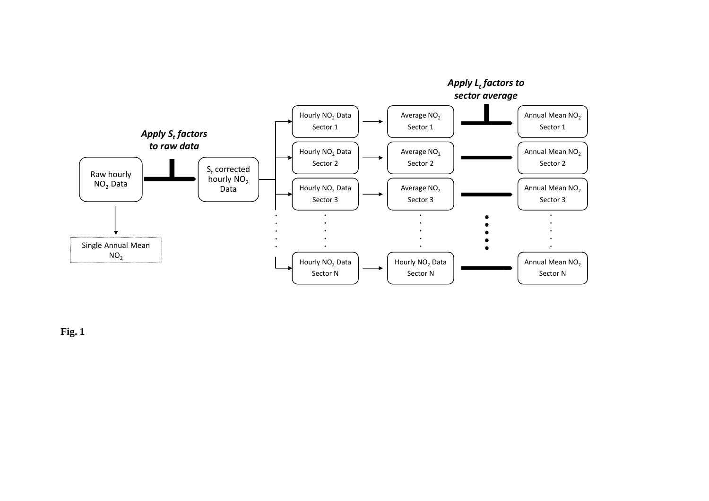

<span id="page-22-0"></span>**Fig. 1**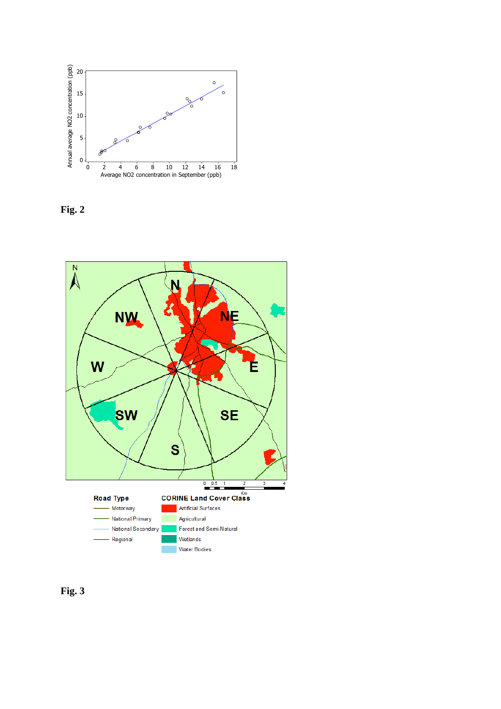





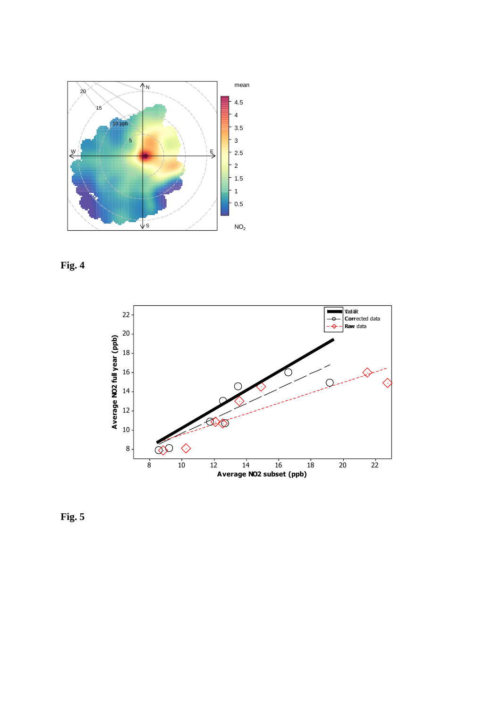





**Fig. 5**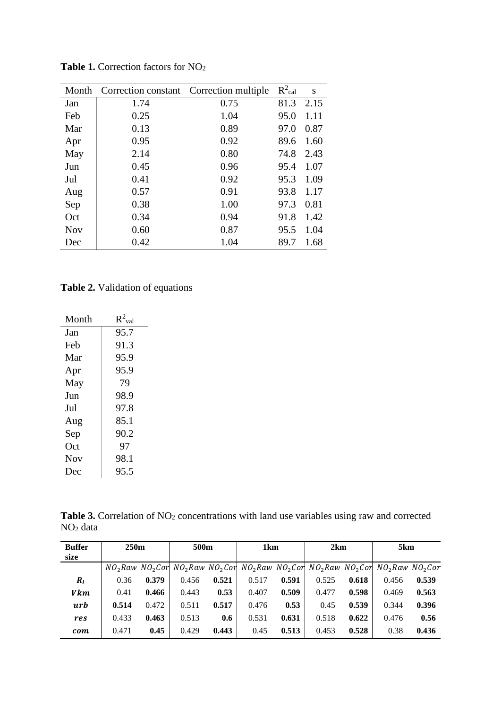| Month      |      | Correction constant Correction multiple | $R^2$ cal | S    |
|------------|------|-----------------------------------------|-----------|------|
| Jan        | 1.74 | 0.75                                    | 81.3      | 2.15 |
| Feb        | 0.25 | 1.04                                    | 95.0      | 1.11 |
| Mar        | 0.13 | 0.89                                    | 97.0      | 0.87 |
| Apr        | 0.95 | 0.92                                    | 89.6      | 1.60 |
| May        | 2.14 | 0.80                                    | 74.8      | 2.43 |
| Jun        | 0.45 | 0.96                                    | 95.4      | 1.07 |
| Jul        | 0.41 | 0.92                                    | 95.3      | 1.09 |
| Aug        | 0.57 | 0.91                                    | 93.8      | 1.17 |
| Sep        | 0.38 | 1.00                                    | 97.3      | 0.81 |
| Oct        | 0.34 | 0.94                                    | 91.8      | 1.42 |
| <b>Nov</b> | 0.60 | 0.87                                    | 95.5      | 1.04 |
| Dec        | 0.42 | 1.04                                    | 89.7      | 1.68 |

<span id="page-25-0"></span>**Table 1.** Correction factors for NO<sup>2</sup>

<span id="page-25-1"></span>**Table 2.** Validation of equations

| Month      | $R^2_{val}$ |
|------------|-------------|
| Jan        | 95.7        |
| Feb        | 91.3        |
| Mar        | 95.9        |
| Apr        | 95.9        |
| May        | 79          |
| Jun        | 98.9        |
| Jul        | 97.8        |
| Aug        | 85.1        |
| Sep        | 90.2        |
| Oct        | 97          |
| <b>Nov</b> | 98.1        |
| Dec        | 95.5        |
|            |             |

<span id="page-25-2"></span>Table 3. Correlation of NO<sub>2</sub> concentrations with land use variables using raw and corrected NO<sup>2</sup> data

| <b>Buffer</b><br>size | 250m  |       | 500m                                                                                                                                                                                               |       | 1 <sub>km</sub> |       | 2km   |       | 5km   |       |
|-----------------------|-------|-------|----------------------------------------------------------------------------------------------------------------------------------------------------------------------------------------------------|-------|-----------------|-------|-------|-------|-------|-------|
|                       |       |       | $NO_2$ Raw NO <sub>2</sub> Corl NO <sub>2</sub> Raw NO <sub>2</sub> Corl NO <sub>2</sub> Raw NO <sub>2</sub> Corl NO <sub>2</sub> Raw NO <sub>2</sub> Corl NO <sub>2</sub> Raw NO <sub>2</sub> Cor |       |                 |       |       |       |       |       |
| $R_l$                 | 0.36  | 0.379 | 0.456                                                                                                                                                                                              | 0.521 | 0.517           | 0.591 | 0.525 | 0.618 | 0.456 | 0.539 |
| <b>Vkm</b>            | 0.41  | 0.466 | 0.443                                                                                                                                                                                              | 0.53  | 0.407           | 0.509 | 0.477 | 0.598 | 0.469 | 0.563 |
| urb                   | 0.514 | 0.472 | 0.511                                                                                                                                                                                              | 0.517 | 0.476           | 0.53  | 0.45  | 0.539 | 0.344 | 0.396 |
| res                   | 0.433 | 0.463 | 0.513                                                                                                                                                                                              | 0.6   | 0.531           | 0.631 | 0.518 | 0.622 | 0.476 | 0.56  |
| com                   | 0.471 | 0.45  | 0.429                                                                                                                                                                                              | 0.443 | 0.45            | 0.513 | 0.453 | 0.528 | 0.38  | 0.436 |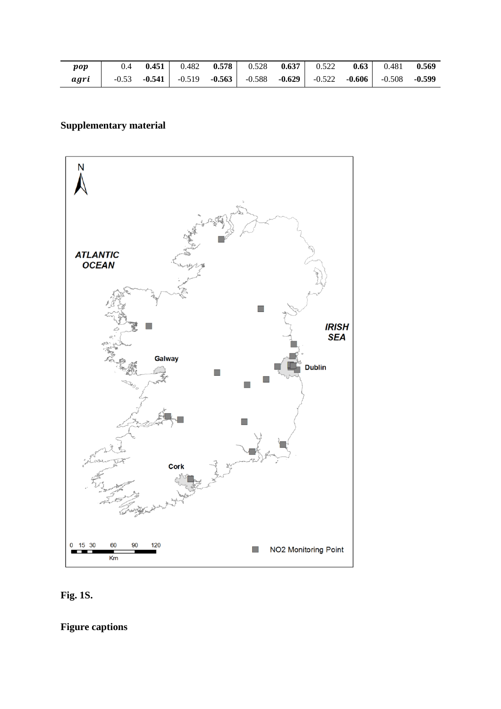| $\boldsymbol{pop}$ | $0.4$ 0.451 |  |  | $0.482$ $0.578$ $0.528$ $0.637$ $0.522$                                                                 | $0.63$ 0.481 0.569 |  |
|--------------------|-------------|--|--|---------------------------------------------------------------------------------------------------------|--------------------|--|
|                    |             |  |  | agri   $-0.53$ $-0.541$   $-0.519$ $-0.563$   $-0.588$ $-0.629$   $-0.522$ $-0.606$   $-0.508$ $-0.599$ |                    |  |

### **Supplementary material**





**Figure captions**